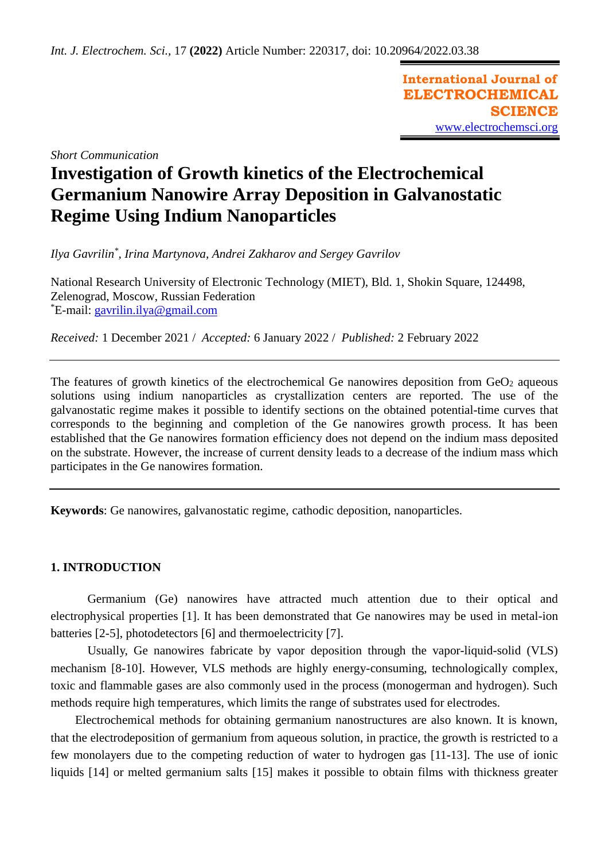**International Journal of ELECTROCHEMICAL SCIENCE** [www.electrochemsci.org](http://www.electrochemsci.org/)

*Short Communication*

# **Investigation of Growth kinetics of the Electrochemical Germanium Nanowire Array Deposition in Galvanostatic Regime Using Indium Nanoparticles**

*Ilya Gavrilin\* , Irina Martynova, Andrei Zakharov and Sergey Gavrilov*

National Research University of Electronic Technology (MIET), Bld. 1, Shokin Square, 124498, Zelenograd, Moscow, Russian Federation \*E-mail: [gavrilin.ilya@gmail.com](mailto:gavrilin.ilya@gmail.com)

*Received:* 1 December 2021 / *Accepted:* 6 January 2022 / *Published:* 2 February 2022

The features of growth kinetics of the electrochemical Ge nanowires deposition from  $GeO<sub>2</sub>$  aqueous solutions using indium nanoparticles as crystallization centers are reported. The use of the galvanostatic regime makes it possible to identify sections on the obtained potential-time curves that corresponds to the beginning and completion of the Ge nanowires growth process. It has been established that the Ge nanowires formation efficiency does not depend on the indium mass deposited on the substrate. However, the increase of current density leads to a decrease of the indium mass which participates in the Ge nanowires formation.

**Keywords**: Ge nanowires, galvanostatic regime, cathodic deposition, nanoparticles.

# **1. INTRODUCTION**

Germanium (Ge) nanowires have attracted much attention due to their optical and electrophysical properties [1]. It has been demonstrated that Ge nanowires may be used in metal-ion batteries [2-5], photodetectors [6] and thermoelectricity [7].

Usually, Ge nanowires fabricate by vapor deposition through the vapor-liquid-solid (VLS) mechanism [8-10]. However, VLS methods are highly energy-consuming, technologically complex, toxic and flammable gases are also commonly used in the process (monogerman and hydrogen). Such methods require high temperatures, which limits the range of substrates used for electrodes.

Electrochemical methods for obtaining germanium nanostructures are also known. It is known, that the electrodeposition of germanium from aqueous solution, in practice, the growth is restricted to a few monolayers due to the competing reduction of water to hydrogen gas [11-13]. The use of ionic liquids [14] or melted germanium salts [15] makes it possible to obtain films with thickness greater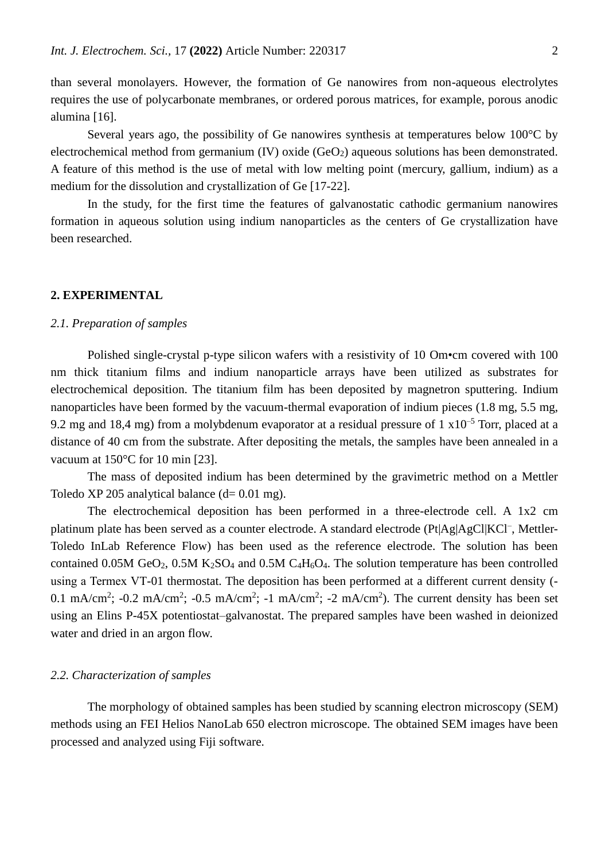than several monolayers. However, the formation of Ge nanowires from non-aqueous electrolytes requires the use of polycarbonate membranes, or ordered porous matrices, for example, porous anodic alumina [16].

Several years ago, the possibility of Ge nanowires synthesis at temperatures below 100°C by electrochemical method from germanium  $(IV)$  oxide  $(GeO<sub>2</sub>)$  aqueous solutions has been demonstrated. A feature of this method is the use of metal with low melting point (mercury, gallium, indium) as a medium for the dissolution and crystallization of Ge [17-22].

In the study, for the first time the features of galvanostatic cathodic germanium nanowires formation in aqueous solution using indium nanoparticles as the centers of Ge crystallization have been researched.

#### **2. EXPERIMENTAL**

# *2.1. Preparation of samples*

Polished single-crystal p-type silicon wafers with a resistivity of 10 Om•cm covered with 100 nm thick titanium films and indium nanoparticle arrays have been utilized as substrates for electrochemical deposition. The titanium film has been deposited by magnetron sputtering. Indium nanoparticles have been formed by the vacuum-thermal evaporation of indium pieces (1.8 mg, 5.5 mg, 9.2 mg and 18,4 mg) from a molybdenum evaporator at a residual pressure of 1  $\times 10^{-5}$  Torr, placed at a distance of 40 cm from the substrate. After depositing the metals, the samples have been annealed in a vacuum at 150°C for 10 min [23].

The mass of deposited indium has been determined by the gravimetric method on a Mettler Toledo XP 205 analytical balance  $(d= 0.01$  mg).

The electrochemical deposition has been performed in a three-electrode cell. A 1x2 cm platinum plate has been served as a counter electrode. A standard electrode (Pt|Ag|AgCl|KCl<sup>-</sup>, Mettler-Toledo InLab Reference Flow) has been used as the reference electrode. The solution has been contained 0.05M GeO<sub>2</sub>, 0.5M K<sub>2</sub>SO<sub>4</sub> and 0.5M C<sub>4</sub>H<sub>6</sub>O<sub>4</sub>. The solution temperature has been controlled using a Termex VТ-01 thermostat. The deposition has been performed at a different current density (- 0.1 mA/cm<sup>2</sup>; -0.2 mA/cm<sup>2</sup>; -0.5 mA/cm<sup>2</sup>; -1 mA/cm<sup>2</sup>; -2 mA/cm<sup>2</sup>). The current density has been set using an Elins P-45X potentiostat–galvanostat. The prepared samples have been washed in deionized water and dried in an argon flow.

#### *2.2. Characterization of samples*

The morphology of obtained samples has been studied by scanning electron microscopy (SEM) methods using an FEI Helios NanoLab 650 electron microscope. The obtained SEM images have been processed and analyzed using Fiji software.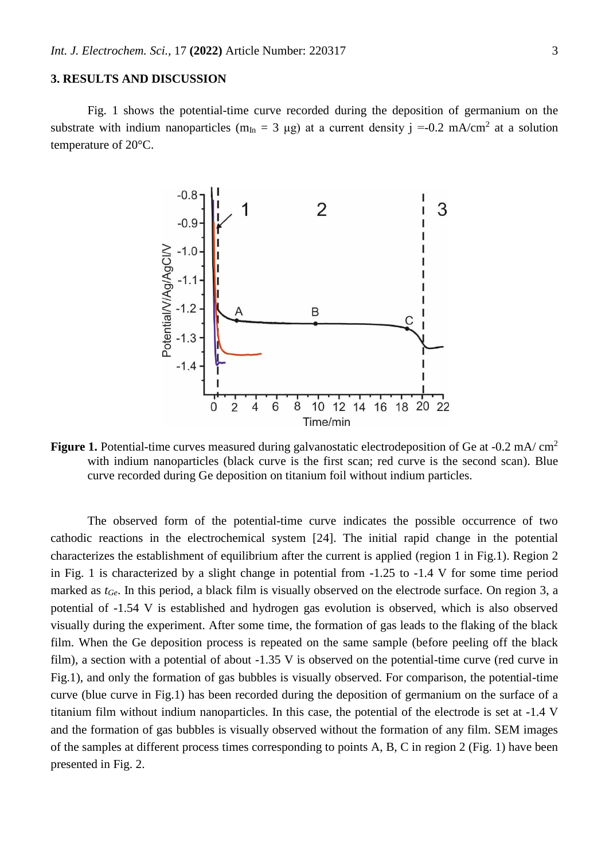## **3. RESULTS AND DISCUSSION**

Fig. 1 shows the potential-time curve recorded during the deposition of germanium on the substrate with indium nanoparticles ( $m_{In} = 3 \mu g$ ) at a current density j =-0.2 mA/cm<sup>2</sup> at a solution temperature of 20°C.



**Figure 1.** Potential-time curves measured during galvanostatic electrodeposition of Ge at -0.2 mA/ cm<sup>2</sup> with indium nanoparticles (black curve is the first scan; red curve is the second scan). Blue curve recorded during Ge deposition on titanium foil without indium particles.

The observed form of the potential-time curve indicates the possible occurrence of two cathodic reactions in the electrochemical system [24]. The initial rapid change in the potential characterizes the establishment of equilibrium after the current is applied (region 1 in Fig.1). Region 2 in Fig. 1 is characterized by a slight change in potential from -1.25 to -1.4 V for some time period marked as *tGe*. In this period, a black film is visually observed on the electrode surface. On region 3, a potential of -1.54 V is established and hydrogen gas evolution is observed, which is also observed visually during the experiment. After some time, the formation of gas leads to the flaking of the black film. When the Ge deposition process is repeated on the same sample (before peeling off the black film), a section with a potential of about -1.35 V is observed on the potential-time curve (red curve in Fig.1), and only the formation of gas bubbles is visually observed. For comparison, the potential-time curve (blue curve in Fig.1) has been recorded during the deposition of germanium on the surface of a titanium film without indium nanoparticles. In this case, the potential of the electrode is set at -1.4 V and the formation of gas bubbles is visually observed without the formation of any film. SEM images of the samples at different process times corresponding to points A, B, C in region 2 (Fig. 1) have been presented in Fig. 2.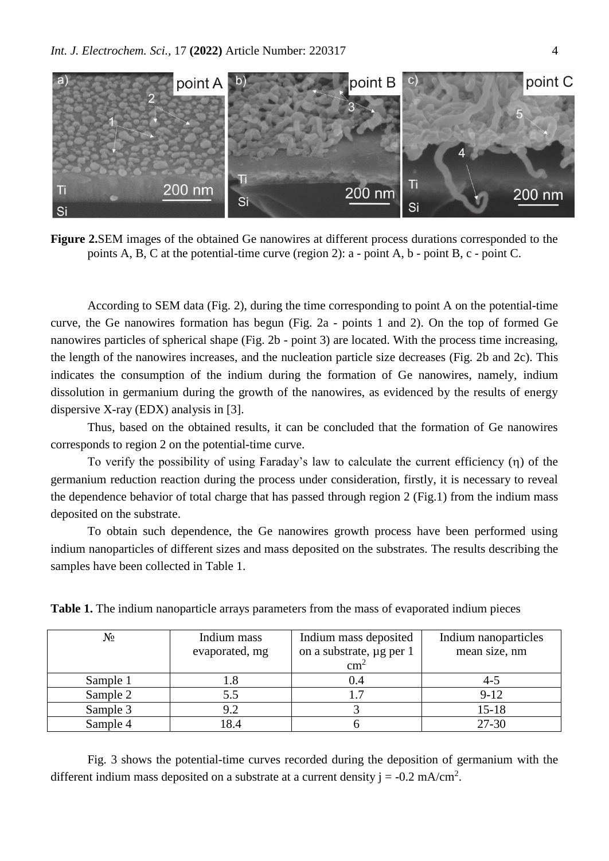

**Figure 2.**SEM images of the obtained Ge nanowires at different process durations corresponded to the points A, B, C at the potential-time curve (region 2): a - point A, b - point B, c - point C.

According to SEM data (Fig. 2), during the time corresponding to point A on the potential-time curve, the Ge nanowires formation has begun (Fig. 2a - points 1 and 2). On the top of formed Ge nanowires particles of spherical shape (Fig. 2b - point 3) are located. With the process time increasing, the length of the nanowires increases, and the nucleation particle size decreases (Fig. 2b and 2c). This indicates the consumption of the indium during the formation of Ge nanowires, namely, indium dissolution in germanium during the growth of the nanowires, as evidenced by the results of energy dispersive X-ray (EDX) analysis in [3].

Thus, based on the obtained results, it can be concluded that the formation of Ge nanowires corresponds to region 2 on the potential-time curve.

To verify the possibility of using Faraday's law to calculate the current efficiency  $(\eta)$  of the germanium reduction reaction during the process under consideration, firstly, it is necessary to reveal the dependence behavior of total charge that has passed through region 2 (Fig.1) from the indium mass deposited on the substrate.

To obtain such dependence, the Ge nanowires growth process have been performed using indium nanoparticles of different sizes and mass deposited on the substrates. The results describing the samples have been collected in Table 1.

|  | Table 1. The indium nanoparticle arrays parameters from the mass of evaporated indium pieces |  |  |  |  |
|--|----------------------------------------------------------------------------------------------|--|--|--|--|
|  |                                                                                              |  |  |  |  |

| $N_2$    | Indium mass    | Indium mass deposited    | Indium nanoparticles |  |  |
|----------|----------------|--------------------------|----------------------|--|--|
|          | evaporated, mg | on a substrate, µg per 1 | mean size, nm        |  |  |
|          |                | cm <sup>2</sup>          |                      |  |  |
| Sample 1 |                | 0.4                      | $-4-5$               |  |  |
| Sample 2 | 5.5            |                          | $9-12$               |  |  |
| Sample 3 |                |                          | $15 - 18$            |  |  |
| Sample 4 | 8.4            |                          | $27 - 30$            |  |  |

Fig. 3 shows the potential-time curves recorded during the deposition of germanium with the different indium mass deposited on a substrate at a current density  $j = -0.2$  mA/cm<sup>2</sup>.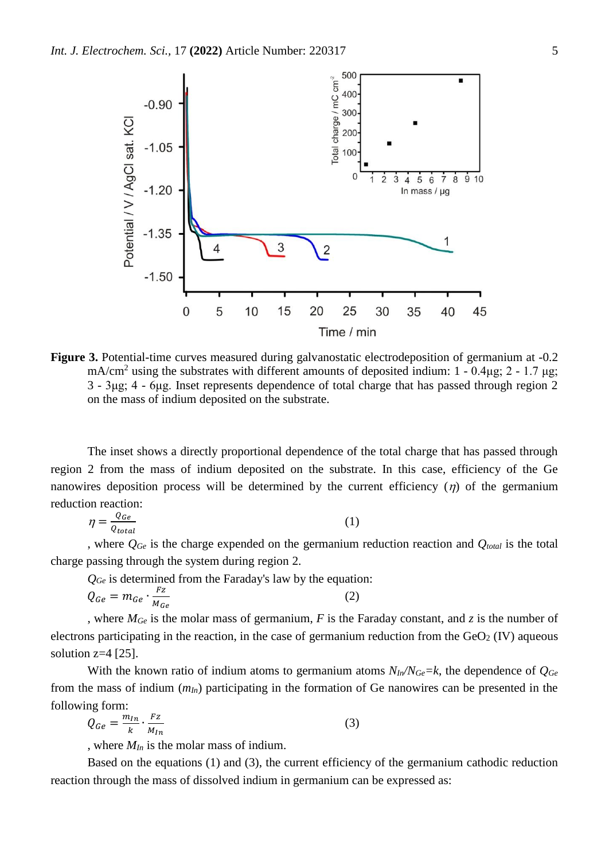

**Figure 3.** Potential-time curves measured during galvanostatic electrodeposition of germanium at -0.2 mA/cm<sup>2</sup> using the substrates with different amounts of deposited indium:  $1 - 0.4\mu$ g;  $2 - 1.7 \mu$ g; 3 - 3μg; 4 - 6μg. Inset represents dependence of total charge that has passed through region 2 on the mass of indium deposited on the substrate.

The inset shows a directly proportional dependence of the total charge that has passed through region 2 from the mass of indium deposited on the substrate. In this case, efficiency of the Ge nanowires deposition process will be determined by the current efficiency  $(\eta)$  of the germanium reduction reaction:

$$
\eta = \frac{Q_{Ge}}{Q_{total}}\tag{1}
$$

, where *QGe* is the charge expended on the germanium reduction reaction and *Qtotal* is the total charge passing through the system during region 2.

*QGe* is determined from the Faraday's law by the equation:

$$
Q_{Ge} = m_{Ge} \cdot \frac{Fz}{M_{Ge}} \tag{2}
$$

, where *MGe* is the molar mass of germanium, *F* is the Faraday constant, and *z* is the number of electrons participating in the reaction, in the case of germanium reduction from the  $GeO<sub>2</sub>$  (IV) aqueous solution  $z=4$  [25].

With the known ratio of indium atoms to germanium atoms  $N_{In}/N_{Ge} = k$ , the dependence of  $Q_{Ge}$ from the mass of indium (*mIn*) participating in the formation of Ge nanowires can be presented in the following form:

$$
Q_{Ge} = \frac{m_{In}}{k} \cdot \frac{Fz}{M_{In}} \tag{3}
$$

, where *MIn* is the molar mass of indium.

Based on the equations (1) and (3), the current efficiency of the germanium cathodic reduction reaction through the mass of dissolved indium in germanium can be expressed as: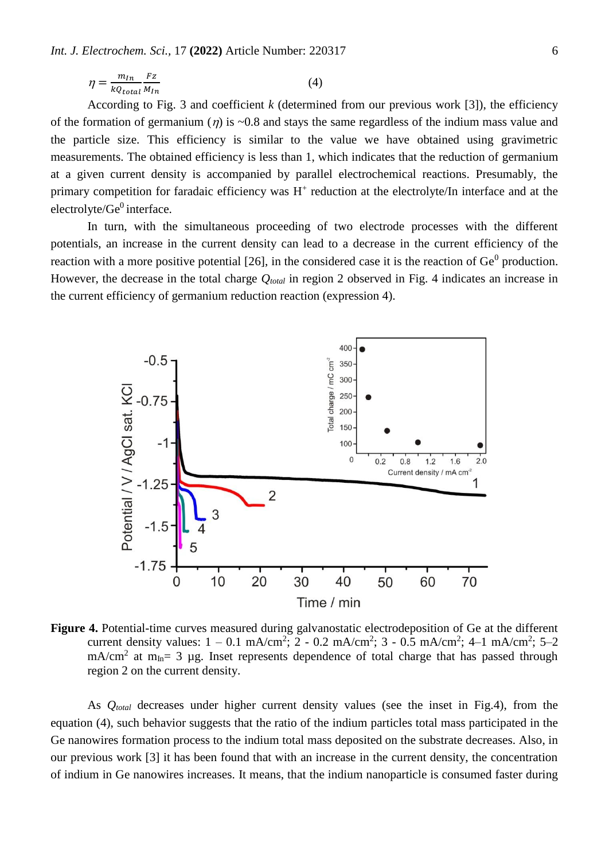$$
\eta = \frac{m_{In}}{kQ_{total}} \frac{Fz}{M_{In}} \tag{4}
$$

According to Fig. 3 and coefficient *k* (determined from our previous work [3]), the efficiency of the formation of germanium ( $\eta$ ) is ~0.8 and stays the same regardless of the indium mass value and the particle size. This efficiency is similar to the value we have obtained using gravimetric measurements. The obtained efficiency is less than 1, which indicates that the reduction of germanium at a given current density is accompanied by parallel electrochemical reactions. Presumably, the primary competition for faradaic efficiency was H<sup>+</sup> reduction at the electrolyte/In interface and at the  $electrolyte/Ge<sup>0</sup>$  interface.

In turn, with the simultaneous proceeding of two electrode processes with the different potentials, an increase in the current density can lead to a decrease in the current efficiency of the reaction with a more positive potential [26], in the considered case it is the reaction of  $Ge^0$  production. However, the decrease in the total charge *Qtotal* in region 2 observed in Fig. 4 indicates an increase in the current efficiency of germanium reduction reaction (expression 4).



**Figure 4.** Potential-time curves measured during galvanostatic electrodeposition of Ge at the different current density values:  $1 - 0.1$  mA/cm<sup>2</sup>;  $2 - 0.2$  mA/cm<sup>2</sup>;  $3 - 0.5$  mA/cm<sup>2</sup>;  $4 - 1$  mA/cm<sup>2</sup>;  $5 - 2$  $mA/cm<sup>2</sup>$  at  $m<sub>In</sub> = 3$  µg. Inset represents dependence of total charge that has passed through region 2 on the current density.

As *Qtotal* decreases under higher current density values (see the inset in Fig.4), from the equation (4), such behavior suggests that the ratio of the indium particles total mass participated in the Ge nanowires formation process to the indium total mass deposited on the substrate decreases. Also, in our previous work [3] it has been found that with an increase in the current density, the concentration of indium in Ge nanowires increases. It means, that the indium nanoparticle is consumed faster during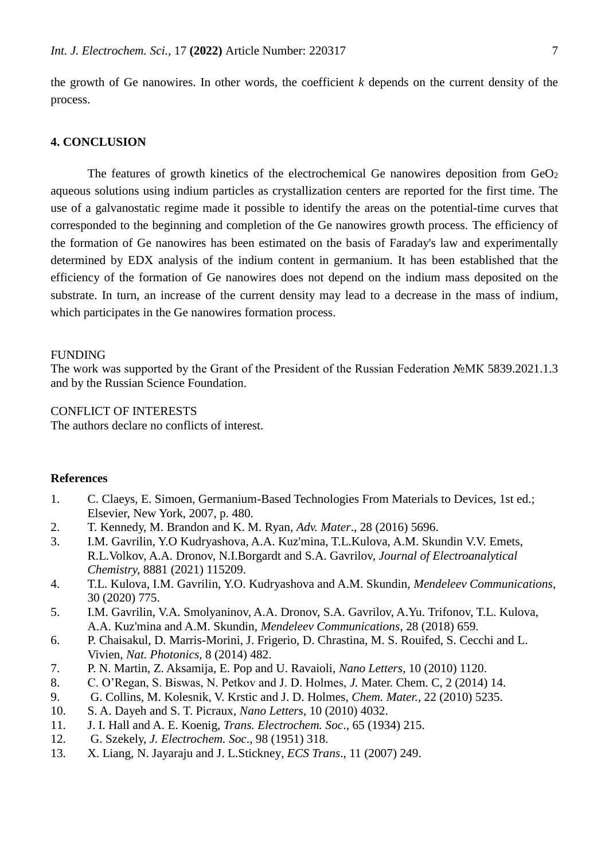the growth of Ge nanowires. In other words, the coefficient *k* depends on the current density of the process.

# **4. CONCLUSION**

The features of growth kinetics of the electrochemical Ge nanowires deposition from  $GeO<sub>2</sub>$ aqueous solutions using indium particles as crystallization centers are reported for the first time. The use of a galvanostatic regime made it possible to identify the areas on the potential-time curves that corresponded to the beginning and completion of the Ge nanowires growth process. The efficiency of the formation of Ge nanowires has been estimated on the basis of Faraday's law and experimentally determined by EDX analysis of the indium content in germanium. It has been established that the efficiency of the formation of Ge nanowires does not depend on the indium mass deposited on the substrate. In turn, an increase of the current density may lead to a decrease in the mass of indium, which participates in the Ge nanowires formation process.

#### FUNDING

The work was supported by the Grant of the President of the Russian Federation №МК 5839.2021.1.3 and by the Russian Science Foundation.

# CONFLICT OF INTERESTS

The authors declare no conflicts of interest.

#### **References**

- 1. C. Claeys, E. Simoen, Germanium-Based Technologies From Materials to Devices, 1st ed.; Elsevier, New York, 2007, p. 480.
- 2. T. Kennedy, M. Brandon and K. M. Ryan, *Adv. Mater*., 28 (2016) 5696.
- 3. I.M. Gavrilin, Y.O Kudryashova, A.A. Kuz'mina, T.L.Kulova, A.M. Skundin V.V. Emets, R.L.Volkov, A.A. Dronov, N.I.Borgardt and S.A. Gavrilov, *Journal of Electroanalytical Chemistry,* 8881 (2021) 115209.
- 4. T.L. Kulova, I.M. Gavrilin, Y.O. Kudryashova and A.M. Skundin, *Mendeleev Communications*, 30 (2020) 775.
- 5. I.M. Gavrilin, V.A. Smolyaninov, A.A. Dronov, S.A. Gavrilov, A.Yu. Trifonov, T.L. Kulova, A.A. Kuz'mina and A.M. Skundin, *Mendeleev Communications*, 28 (2018) 659.
- 6. P. Chaisakul, D. Marris-Morini, J. Frigerio, D. Chrastina, M. S. Rouifed, S. Cecchi and L. Vivien, *Nat. Photonics*, 8 (2014) 482.
- 7. P. N. Martin, Z. Aksamija, E. Pop and U. Ravaioli, *Nano Letters*, 10 (2010) 1120.
- 8. C. O'Regan, S. Biswas, N. Petkov and J. D. Holmes, *J.* Mater. Chem. C, 2 (2014) 14.
- 9. G. Collins, M. Kolesnik, V. Krstic and J. D. Holmes, *Chem. Mater.*, 22 (2010) 5235.
- 10. S. A. Dayeh and S. T. Picraux, *Nano Letters*, 10 (2010) 4032.
- 11. J. I. Hall and A. E. Koenig, *Trans. Electrochem. Soc*., 65 (1934) 215.
- 12. G. Szekely, *J. Electrochem. Soc*., 98 (1951) 318.
- 13. X. Liang, N. Jayaraju and J. L.Stickney*, ECS Trans*., 11 (2007) 249.